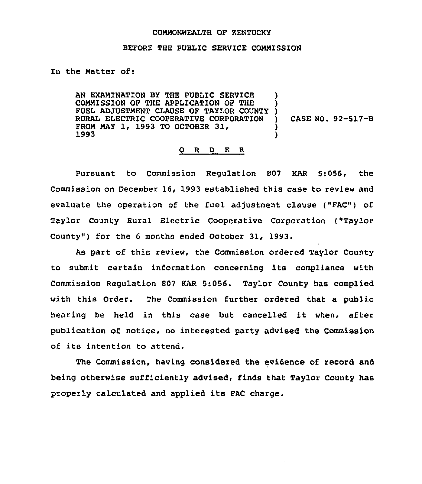## COMMONWEALTH OF KENTUCKY

## BEFORE THE PUBLIC SERVICE COMMISSION

In the Matter of:

AN EXAMINATION BY THE PUBLIC SERVICE COMMISSION OF THE APPLICATION OF THE FUEL ADJUSTMENT CLAUSE OF TAYLOR COUNTY RURAL ELECTRIC COOPERATIVE CORPORATION FROM MAY 1, 1993 TO OCTOBER 31, 1993 ) ) ) ) CASE NO. 92-517-B ) )

## 0 R <sup>D</sup> E R

Pursuant to Commission Regulation 807 KAR 5:056, the Commission on December 16, 1993 established this case to review and evaluate the operation of the fuel adjustment clause ("FAC") of Taylor County Rural Electric Cooperative Corporation ("Taylor County") for the 6 months ended October 31, 1993.

As part of this review, the Commission ordered Taylor County to submit certain information concerning its compliance with Commission Regulation 807 KAR 5:056. Taylor County has complied with this Order. The Commission further ordered that a public hearing be held in this case but cancelled it when, after publication of notice, no interested party advised the Commission of its intent'on to attend.

The Commission, having considered the evidence of record and being otherwise sufficiently advised, finds that Taylor County has properly calculated and applied its FAC charge.